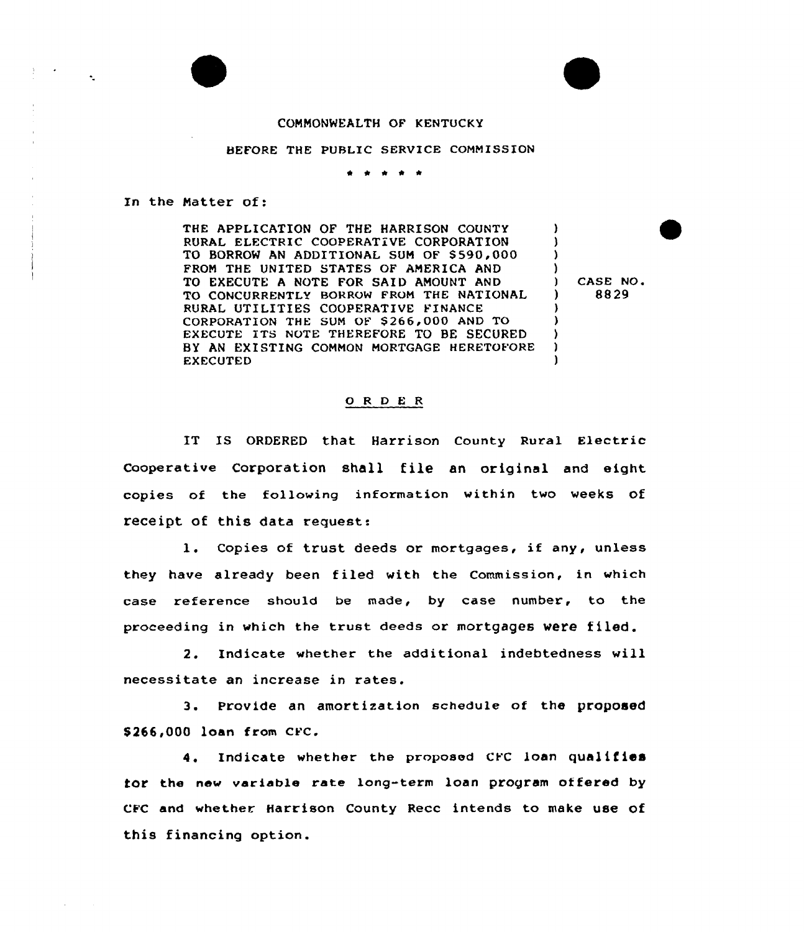## COMMONWEALTH OF KENTUCKY

## BEFORE THE PUBLIC SERVICE COMMISSION

سالم المالم الما

## In the Natter of:

THE APPLICATION OF THE HARRISON COUNTY RURAL ELECTRIC COOPERATIVE CORPORATION TO BORROW AN ADDITIONAL SUM OF \$ 590,000 FROM THE UNITED STATES OF AMERICA AND TO EXECUTE A NOTE FOR SAID AMOUNT AND TO CONCURRENTLY BORROW FROM THE NATIONAL RURAL UTILITIES COOPERATIVE FINANCE CORPORATION THE SUM OF \$266,000 AND TO EXECUTE ITS NOTE THEREFORE TO BE SECURED BY AN EXISTING COMMON MORTGAGE HERETOFORE EXECUTED

) CASE NO. ) 8829

 $\lambda$ 3  $\lambda$  $\frac{1}{1}$ 

)  $\lambda$ )  $\lambda$ 

## 0 <sup>R</sup> <sup>D</sup> E <sup>R</sup>

IT IS ORDERED that Harrison County Rural Electric Cooperative Corporation shall file an original and eight copies of the following information within two weeks of receipt of this data request:

1. Copies of trust deeds or mortgages, if any, unless they have already been filed with the Commission, in which case reference should be made, by case number, to the proceeding in which the trust deeds or mortgages were filed.

2. Indicate whether the additional indebtedness will necessitate an increase in rates.

3. Provide an amortization schedule of the proposed \$ 266,000 loan from CFC.

4. Indicate whether the proposed CFC loan qualifies for the new variable rate long-term loan program of fered by CFC and whether Harrison County Recc intends to make use of this financing option.